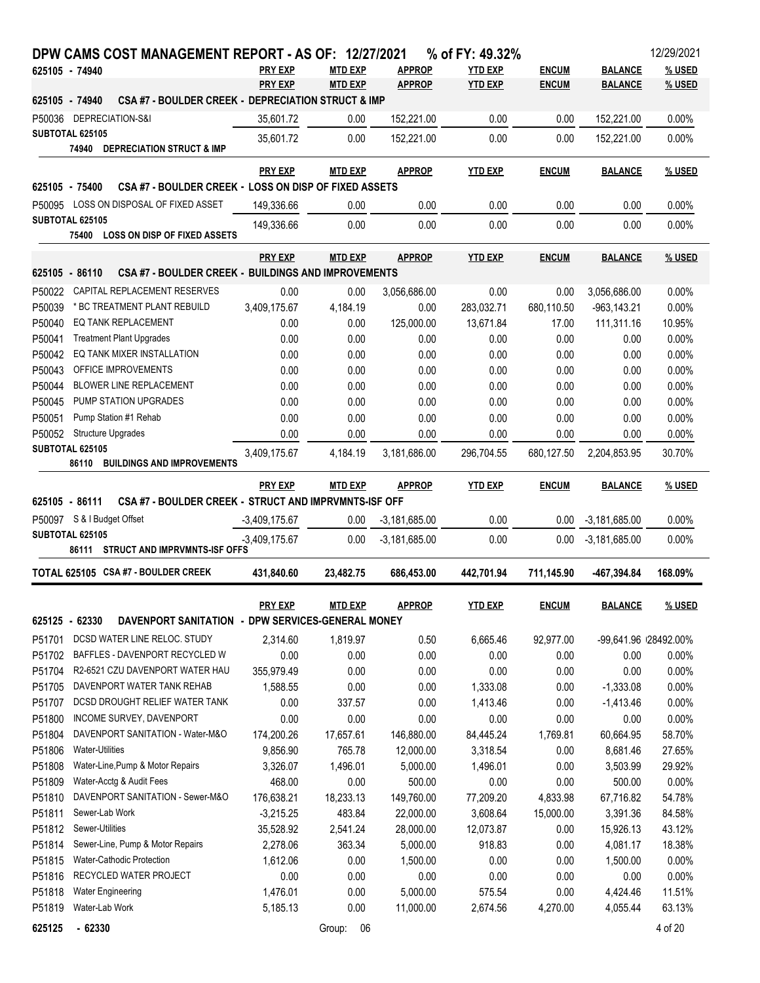| DPW CAMS COST MANAGEMENT REPORT - AS OF: 12/27/2021                          |                 |                |                 | % of FY: 49.32% |              |                 | 12/29/2021           |
|------------------------------------------------------------------------------|-----------------|----------------|-----------------|-----------------|--------------|-----------------|----------------------|
| 625105 - 74940                                                               | <b>PRY EXP</b>  | <b>MTD EXP</b> | <b>APPROP</b>   | <b>YTD EXP</b>  | <b>ENCUM</b> | <b>BALANCE</b>  | % USED               |
|                                                                              | <b>PRY EXP</b>  | <b>MTD EXP</b> | <b>APPROP</b>   | <b>YTD EXP</b>  | <b>ENCUM</b> | <b>BALANCE</b>  | % USED               |
| CSA #7 - BOULDER CREEK - DEPRECIATION STRUCT & IMP<br>625105 - 74940         |                 |                |                 |                 |              |                 |                      |
| P50036 DEPRECIATION-S&I                                                      | 35,601.72       | 0.00           | 152,221.00      | 0.00            | 0.00         | 152,221.00      | 0.00%                |
| <b>SUBTOTAL 625105</b>                                                       | 35,601.72       | 0.00           | 152,221.00      | 0.00            | 0.00         | 152,221.00      | 0.00%                |
| 74940 DEPRECIATION STRUCT & IMP                                              |                 |                |                 |                 |              |                 |                      |
|                                                                              | <b>PRY EXP</b>  | <b>MTD EXP</b> | <b>APPROP</b>   | <b>YTD EXP</b>  | <b>ENCUM</b> | <b>BALANCE</b>  | % USED               |
| CSA #7 - BOULDER CREEK - LOSS ON DISP OF FIXED ASSETS<br>625105 - 75400      |                 |                |                 |                 |              |                 |                      |
| P50095 LOSS ON DISPOSAL OF FIXED ASSET                                       | 149,336.66      | 0.00           | 0.00            | 0.00            | 0.00         | 0.00            | 0.00%                |
| <b>SUBTOTAL 625105</b>                                                       | 149,336.66      | 0.00           | 0.00            | 0.00            | 0.00         | 0.00            | 0.00%                |
| 75400 LOSS ON DISP OF FIXED ASSETS                                           |                 |                |                 |                 |              |                 |                      |
|                                                                              | <b>PRY EXP</b>  | <b>MTD EXP</b> | <b>APPROP</b>   | <b>YTD EXP</b>  | <b>ENCUM</b> | <b>BALANCE</b>  | % USED               |
| <b>CSA #7 - BOULDER CREEK - BUILDINGS AND IMPROVEMENTS</b><br>625105 - 86110 |                 |                |                 |                 |              |                 |                      |
| P50022 CAPITAL REPLACEMENT RESERVES                                          | 0.00            | 0.00           | 3,056,686.00    | 0.00            | 0.00         | 3,056,686.00    | 0.00%                |
| * BC TREATMENT PLANT REBUILD<br>P50039                                       | 3,409,175.67    | 4,184.19       | 0.00            | 283,032.71      | 680,110.50   | $-963, 143.21$  | 0.00%                |
| P50040<br>EQ TANK REPLACEMENT                                                | 0.00            | 0.00           | 125,000.00      | 13,671.84       | 17.00        | 111,311.16      | 10.95%               |
| P50041<br><b>Treatment Plant Upgrades</b>                                    | 0.00            | 0.00           | 0.00            | 0.00            | 0.00         | 0.00            | 0.00%                |
| P50042<br>EQ TANK MIXER INSTALLATION                                         | 0.00            | 0.00           | 0.00            | 0.00            | 0.00         | 0.00            | 0.00%                |
| P50043<br>OFFICE IMPROVEMENTS                                                | 0.00            | 0.00           | 0.00            | 0.00            | 0.00         | 0.00            | 0.00%                |
| P50044<br><b>BLOWER LINE REPLACEMENT</b>                                     | 0.00            | 0.00           | 0.00            | 0.00            | 0.00         | 0.00            | 0.00%                |
| P50045<br>PUMP STATION UPGRADES                                              | 0.00            | 0.00           | 0.00            | 0.00            | 0.00         | 0.00            | 0.00%                |
| P50051<br>Pump Station #1 Rehab                                              | 0.00            | 0.00           | 0.00            | 0.00            | 0.00         | 0.00            | 0.00%                |
| <b>Structure Upgrades</b><br>P50052                                          | 0.00            | 0.00           | 0.00            | 0.00            | 0.00         | 0.00            | 0.00%                |
| SUBTOTAL 625105                                                              | 3,409,175.67    | 4,184.19       | 3,181,686.00    | 296,704.55      | 680,127.50   | 2,204,853.95    | 30.70%               |
| 86110 BUILDINGS AND IMPROVEMENTS                                             |                 |                |                 |                 |              |                 |                      |
|                                                                              | <b>PRY EXP</b>  | <b>MTD EXP</b> | <b>APPROP</b>   | <b>YTD EXP</b>  | <b>ENCUM</b> | <b>BALANCE</b>  | % USED               |
| CSA #7 - BOULDER CREEK - STRUCT AND IMPRVMNTS-ISF OFF<br>625105 - 86111      |                 |                |                 |                 |              |                 |                      |
| P50097 S & I Budget Offset                                                   |                 |                |                 | 0.00            |              |                 |                      |
| <b>SUBTOTAL 625105</b>                                                       | $-3,409,175.67$ | 0.00           | $-3,181,685.00$ |                 | 0.00         | $-3,181,685.00$ | 0.00%                |
| 86111 STRUCT AND IMPRVMNTS-ISF OFFS                                          | $-3,409,175.67$ | 0.00           | $-3,181,685.00$ | 0.00            | 0.00         | $-3.181,685.00$ | 0.00%                |
|                                                                              |                 |                |                 |                 |              |                 |                      |
| TOTAL 625105 CSA #7 - BOULDER CREEK                                          | 431,840.60      | 23,482.75      | 686,453.00      | 442,701.94      | 711,145.90   | -467,394.84     | 168.09%              |
|                                                                              | <b>PRY EXP</b>  | <b>MTD EXP</b> | <b>APPROP</b>   | <b>YTD EXP</b>  | <b>ENCUM</b> | <b>BALANCE</b>  | % USED               |
| DAVENPORT SANITATION - DPW SERVICES-GENERAL MONEY<br>625125 - 62330          |                 |                |                 |                 |              |                 |                      |
| DCSD WATER LINE RELOC. STUDY<br>P51701                                       | 2,314.60        | 1,819.97       |                 | 6,665.46        |              |                 | -99.641.96 28492.00% |
| BAFFLES - DAVENPORT RECYCLED W                                               |                 |                | 0.50            |                 | 92,977.00    |                 |                      |
| P51702<br>R2-6521 CZU DAVENPORT WATER HAU                                    | 0.00            | 0.00           | 0.00            | 0.00            | 0.00         | 0.00            | 0.00%                |
| P51704<br>DAVENPORT WATER TANK REHAB                                         | 355,979.49      | 0.00           | 0.00            | 0.00            | 0.00         | 0.00            | 0.00%                |
| P51705<br>DCSD DROUGHT RELIEF WATER TANK                                     | 1,588.55        | 0.00           | 0.00            | 1,333.08        | 0.00         | $-1,333.08$     | 0.00%                |
| P51707                                                                       | 0.00            | 337.57         | 0.00            | 1,413.46        | 0.00         | $-1,413.46$     | 0.00%                |
| INCOME SURVEY, DAVENPORT<br>P51800                                           | 0.00            | 0.00           | 0.00            | 0.00            | 0.00         | 0.00            | 0.00%                |
| DAVENPORT SANITATION - Water-M&O<br>P51804                                   | 174,200.26      | 17,657.61      | 146,880.00      | 84,445.24       | 1,769.81     | 60,664.95       | 58.70%               |
| P51806<br><b>Water-Utilities</b>                                             | 9,856.90        | 765.78         | 12,000.00       | 3,318.54        | 0.00         | 8,681.46        | 27.65%               |
| P51808<br>Water-Line, Pump & Motor Repairs                                   | 3,326.07        | 1,496.01       | 5,000.00        | 1,496.01        | 0.00         | 3,503.99        | 29.92%               |
| P51809<br>Water-Acctg & Audit Fees                                           | 468.00          | 0.00           | 500.00          | 0.00            | 0.00         | 500.00          | 0.00%                |
| DAVENPORT SANITATION - Sewer-M&O<br>P51810                                   | 176,638.21      | 18,233.13      | 149,760.00      | 77,209.20       | 4,833.98     | 67,716.82       | 54.78%               |
| Sewer-Lab Work<br>P51811                                                     | $-3,215.25$     | 483.84         | 22,000.00       | 3,608.64        | 15,000.00    | 3,391.36        | 84.58%               |
| P51812<br>Sewer-Utilities                                                    | 35,528.92       | 2,541.24       | 28,000.00       | 12,073.87       | 0.00         | 15,926.13       | 43.12%               |
| Sewer-Line, Pump & Motor Repairs<br>P51814                                   | 2,278.06        | 363.34         | 5,000.00        | 918.83          | 0.00         | 4,081.17        | 18.38%               |
| Water-Cathodic Protection<br>P51815                                          | 1,612.06        | 0.00           | 1,500.00        | 0.00            | 0.00         | 1,500.00        | 0.00%                |
| RECYCLED WATER PROJECT<br>P51816                                             | 0.00            | 0.00           | 0.00            | 0.00            | 0.00         | 0.00            | 0.00%                |
| P51818<br><b>Water Engineering</b>                                           | 1,476.01        | 0.00           | 5,000.00        | 575.54          | 0.00         | 4,424.46        | 11.51%               |
| Water-Lab Work<br>P51819                                                     | 5,185.13        | 0.00           | 11,000.00       | 2,674.56        | 4,270.00     | 4,055.44        | 63.13%               |
| $-62330$<br>625125                                                           |                 | Group:<br>06   |                 |                 |              |                 | 4 of 20              |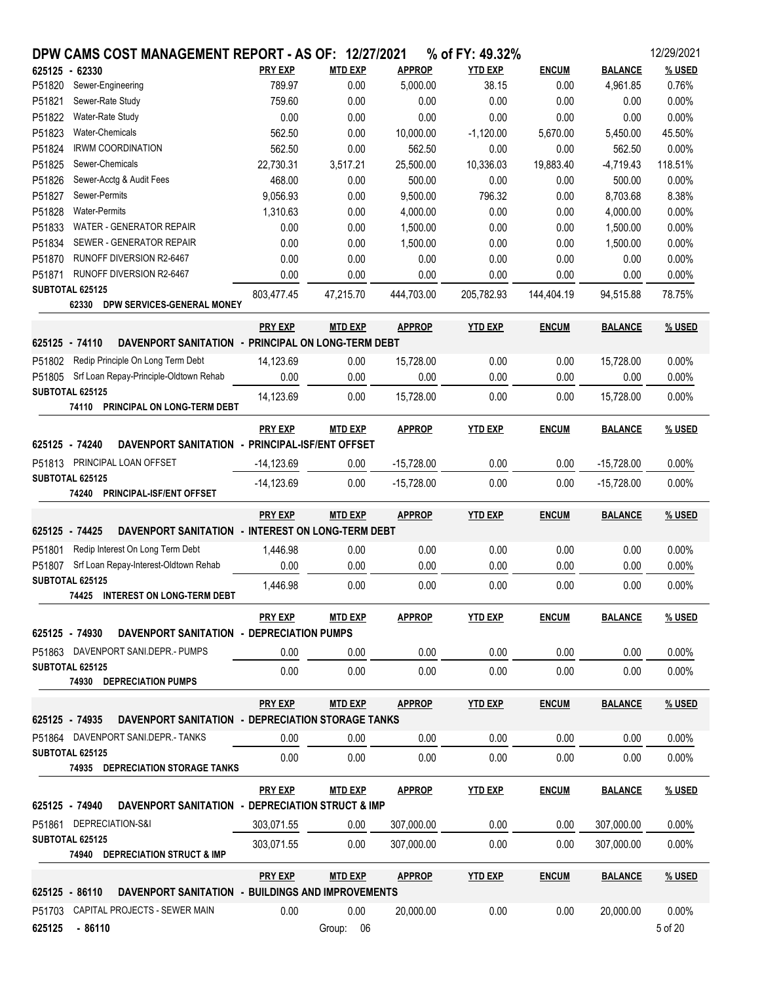|                | DPW CAMS COST MANAGEMENT REPORT - AS OF: 12/27/2021              |                |                   |               | % of FY: 49.32% |              |                | 12/29/2021       |
|----------------|------------------------------------------------------------------|----------------|-------------------|---------------|-----------------|--------------|----------------|------------------|
| 625125 - 62330 |                                                                  | <b>PRY EXP</b> | <b>MTD EXP</b>    | <b>APPROP</b> | <b>YTD EXP</b>  | <b>ENCUM</b> | <b>BALANCE</b> | % USED           |
| P51820         | Sewer-Engineering                                                | 789.97         | 0.00              | 5,000.00      | 38.15           | 0.00         | 4,961.85       | 0.76%            |
| P51821         | Sewer-Rate Study                                                 | 759.60         | 0.00              | 0.00          | 0.00            | 0.00         | 0.00           | 0.00%            |
| P51822         | Water-Rate Study                                                 | 0.00           | 0.00              | 0.00          | 0.00            | 0.00         | 0.00           | 0.00%            |
| P51823         | Water-Chemicals                                                  | 562.50         | 0.00              | 10,000.00     | $-1,120.00$     | 5,670.00     | 5,450.00       | 45.50%           |
| P51824         | <b>IRWM COORDINATION</b>                                         | 562.50         | 0.00              | 562.50        | 0.00            | 0.00         | 562.50         | 0.00%            |
| P51825         | Sewer-Chemicals                                                  | 22,730.31      | 3,517.21          | 25,500.00     | 10,336.03       | 19,883.40    | $-4,719.43$    | 118.51%          |
| P51826         | Sewer-Acctg & Audit Fees                                         | 468.00         | 0.00              | 500.00        | 0.00            | 0.00         | 500.00         | 0.00%            |
| P51827         | Sewer-Permits                                                    | 9,056.93       | 0.00              | 9,500.00      | 796.32          | 0.00         | 8,703.68       | 8.38%            |
| P51828         | <b>Water-Permits</b>                                             | 1,310.63       | 0.00              | 4,000.00      | 0.00            | 0.00         | 4,000.00       | 0.00%            |
| P51833         | WATER - GENERATOR REPAIR                                         | 0.00           | 0.00              | 1,500.00      | 0.00            | 0.00         | 1,500.00       | 0.00%            |
| P51834         | SEWER - GENERATOR REPAIR                                         | 0.00           | 0.00              | 1,500.00      | 0.00            | 0.00         | 1,500.00       | 0.00%            |
| P51870         | RUNOFF DIVERSION R2-6467                                         | 0.00           | 0.00              | 0.00          | 0.00            | 0.00         | 0.00           | 0.00%            |
| P51871         | RUNOFF DIVERSION R2-6467                                         | 0.00           | 0.00              | 0.00          | 0.00            | 0.00         | 0.00           | 0.00%            |
|                | SUBTOTAL 625125                                                  | 803,477.45     | 47,215.70         | 444,703.00    | 205,782.93      | 144,404.19   | 94,515.88      | 78.75%           |
|                | 62330 DPW SERVICES-GENERAL MONEY                                 |                |                   |               |                 |              |                |                  |
|                |                                                                  | <b>PRY EXP</b> | <b>MTD EXP</b>    | <b>APPROP</b> | <b>YTD EXP</b>  | <b>ENCUM</b> | <b>BALANCE</b> | % USED           |
| 625125 - 74110 | DAVENPORT SANITATION - PRINCIPAL ON LONG-TERM DEBT               |                |                   |               |                 |              |                |                  |
| P51802         | Redip Principle On Long Term Debt                                | 14,123.69      | 0.00              | 15,728.00     | 0.00            | 0.00         | 15,728.00      | 0.00%            |
|                | P51805 Srf Loan Repay-Principle-Oldtown Rehab                    | 0.00           | 0.00              | 0.00          | 0.00            | 0.00         | 0.00           | 0.00%            |
|                | SUBTOTAL 625125                                                  | 14,123.69      | 0.00              | 15,728.00     | 0.00            | 0.00         | 15,728.00      | 0.00%            |
|                | 74110 PRINCIPAL ON LONG-TERM DEBT                                |                |                   |               |                 |              |                |                  |
|                |                                                                  | <b>PRY EXP</b> | <b>MTD EXP</b>    | <b>APPROP</b> | <b>YTD EXP</b>  | <b>ENCUM</b> | <b>BALANCE</b> | % USED           |
| 625125 - 74240 | DAVENPORT SANITATION - PRINCIPAL-ISF/ENT OFFSET                  |                |                   |               |                 |              |                |                  |
|                | P51813 PRINCIPAL LOAN OFFSET                                     | $-14,123.69$   | 0.00              | $-15,728.00$  | 0.00            | 0.00         | $-15,728.00$   | 0.00%            |
|                | SUBTOTAL 625125                                                  | $-14,123.69$   | 0.00              | $-15,728.00$  | 0.00            | 0.00         | $-15,728.00$   | 0.00%            |
|                | 74240 PRINCIPAL-ISF/ENT OFFSET                                   |                |                   |               |                 |              |                |                  |
|                |                                                                  | <b>PRY EXP</b> | <b>MTD EXP</b>    | <b>APPROP</b> | <b>YTD EXP</b>  | <b>ENCUM</b> | <b>BALANCE</b> | % USED           |
| 625125 - 74425 | DAVENPORT SANITATION - INTEREST ON LONG-TERM DEBT                |                |                   |               |                 |              |                |                  |
| P51801         | Redip Interest On Long Term Debt                                 | 1,446.98       | 0.00              | 0.00          | 0.00            | 0.00         | 0.00           | 0.00%            |
|                | P51807 Srf Loan Repay-Interest-Oldtown Rehab                     | 0.00           | 0.00              | 0.00          | 0.00            | 0.00         | 0.00           | 0.00%            |
|                | SUBTOTAL 625125                                                  | 1,446.98       | 0.00              | 0.00          | 0.00            | 0.00         | 0.00           | 0.00%            |
|                | 74425 INTEREST ON LONG-TERM DEBT                                 |                |                   |               |                 |              |                |                  |
|                |                                                                  | <b>PRY EXP</b> | <b>MTD EXP</b>    | <b>APPROP</b> | <b>YTD EXP</b>  | <b>ENCUM</b> | <b>BALANCE</b> | % USED           |
|                | 625125 - 74930<br>DAVENPORT SANITATION - DEPRECIATION PUMPS      |                |                   |               |                 |              |                |                  |
|                | P51863 DAVENPORT SANI.DEPR.- PUMPS                               |                |                   |               |                 |              |                |                  |
|                | SUBTOTAL 625125                                                  | 0.00           | 0.00              | 0.00          | 0.00            | 0.00         | 0.00           | 0.00%            |
|                | <b>74930 DEPRECIATION PUMPS</b>                                  | 0.00           | 0.00              | 0.00          | 0.00            | 0.00         | 0.00           | 0.00%            |
|                |                                                                  |                |                   |               |                 |              |                |                  |
|                |                                                                  | <u>PRY EXP</u> | <b>MTD EXP</b>    | <b>APPROP</b> | <b>YTD EXP</b>  | <b>ENCUM</b> | <b>BALANCE</b> | <u>% USED</u>    |
|                | 625125 - 74935 DAVENPORT SANITATION - DEPRECIATION STORAGE TANKS |                |                   |               |                 |              |                |                  |
|                | P51864 DAVENPORT SANI.DEPR.-TANKS                                | 0.00           | 0.00              | 0.00          | 0.00            | 0.00         | 0.00           | 0.00%            |
|                | SUBTOTAL 625125                                                  | 0.00           | 0.00              | 0.00          | 0.00            | 0.00         | 0.00           | 0.00%            |
|                | <b>74935 DEPRECIATION STORAGE TANKS</b>                          |                |                   |               |                 |              |                |                  |
|                |                                                                  | <b>PRY EXP</b> | <b>MTD EXP</b>    | <b>APPROP</b> | <b>YTD EXP</b>  | <b>ENCUM</b> | <b>BALANCE</b> | % USED           |
|                |                                                                  |                |                   |               |                 |              |                |                  |
|                | 625125 - 74940 DAVENPORT SANITATION - DEPRECIATION STRUCT & IMP  |                |                   |               |                 | 0.00         | 307,000.00     | $0.00\%$         |
|                |                                                                  |                | 0.00              |               | 0.00            |              |                |                  |
|                | P51861 DEPRECIATION-S&I<br>SUBTOTAL 625125                       | 303,071.55     |                   | 307,000.00    |                 |              |                |                  |
|                | 74940 DEPRECIATION STRUCT & IMP                                  | 303,071.55     | 0.00              | 307,000.00    | 0.00            | 0.00         | 307,000.00     | $0.00\%$         |
|                |                                                                  |                |                   |               |                 |              |                |                  |
|                |                                                                  | <b>PRY EXP</b> | MTD EXP           | <b>APPROP</b> | <b>YTD EXP</b>  | <b>ENCUM</b> | <b>BALANCE</b> | % USED           |
|                | 625125 - 86110 DAVENPORT SANITATION - BUILDINGS AND IMPROVEMENTS |                |                   |               |                 |              |                |                  |
|                | P51703 CAPITAL PROJECTS - SEWER MAIN<br>625125 - 86110           | 0.00           | 0.00<br>Group: 06 | 20,000.00     | 0.00            | 0.00         | 20,000.00      | 0.00%<br>5 of 20 |